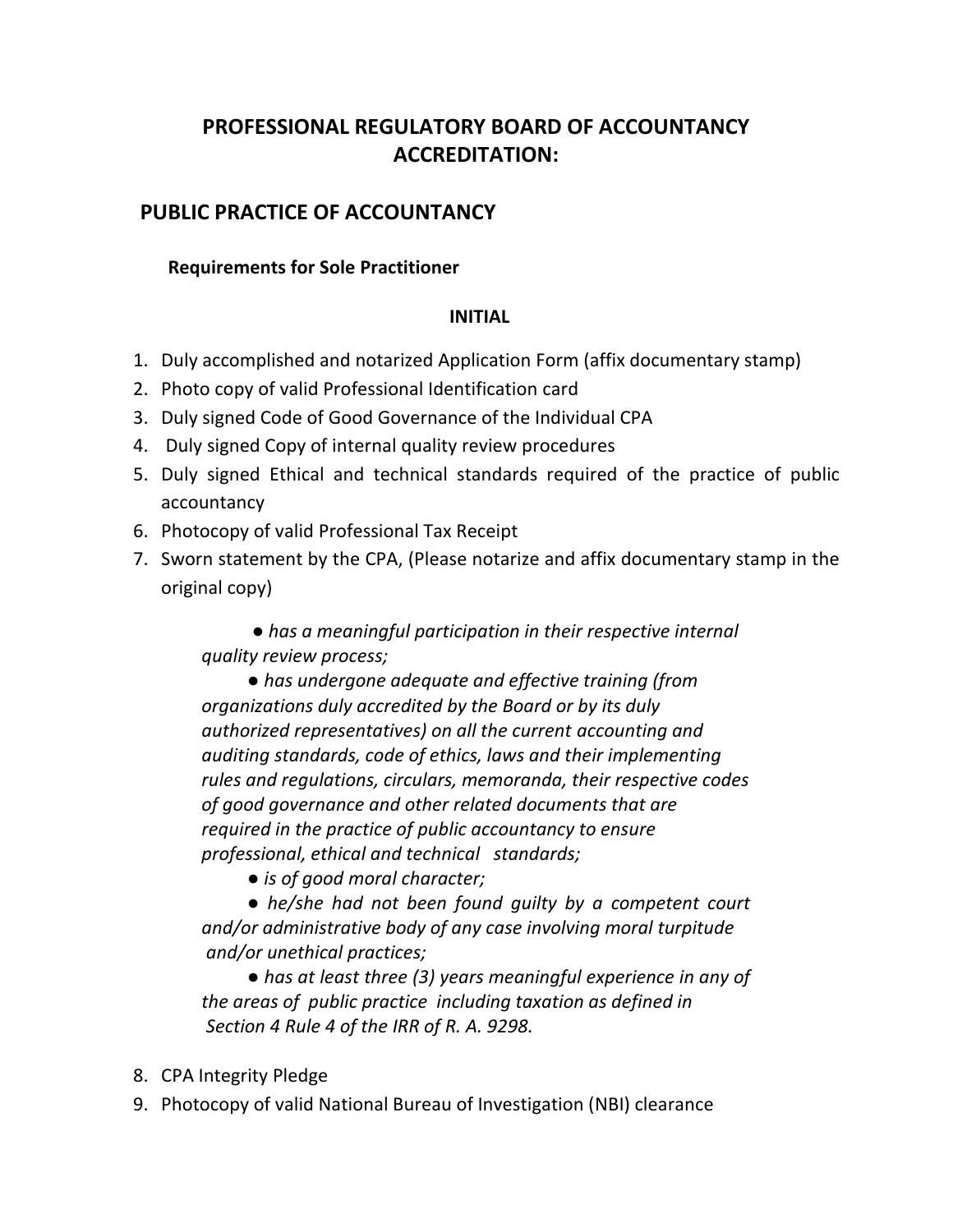# **PROFESSIONAL REGULATORY BOARD OF ACCOUNTANCY ACCREDITATION:**

## **PUBLIC PRACTICE OF ACCOUNTANCY**

#### **Requirements for Sole Practitioner**

#### **INITIAL**

- 1. Duly accomplished and notarized Application Form (affix documentary stamp)
- 2. Photo copy of valid Professional Identification card
- 3. Duly signed Code of Good Governance of the Individual CPA
- 4. Duly signed Copy of internal quality review procedures
- 5. Duly signed Ethical and technical standards required of the practice of public accountancy
- 6. Photocopy of valid Professional Tax Receipt
- 7. Sworn statement by the CPA, (Please notarize and affix documentary stamp in the original copy)

 *● has a meaningful participation in their respective internal quality review process;* 

 *● has undergone adequate and effective training (from organizations duly accredited by the Board or by its duly authorized representatives) on all the current accounting and auditing standards, code of ethics, laws and their implementing rules and regulations, circulars, memoranda, their respective codes of good governance and other related documents that are required in the practice of public accountancy to ensure professional, ethical and technical standards;*

● *is of good moral character;* 

 *● he/she had not been found guilty by a competent court and/or administrative body of any case involving moral turpitude and/or unethical practices;*

 *● has at least three (3) years meaningful experience in any of the areas of public practice including taxation as defined in Section 4 Rule 4 of the IRR of R. A. 9298.*

- 8. CPA Integrity Pledge
- 9. Photocopy of valid National Bureau of Investigation (NBI) clearance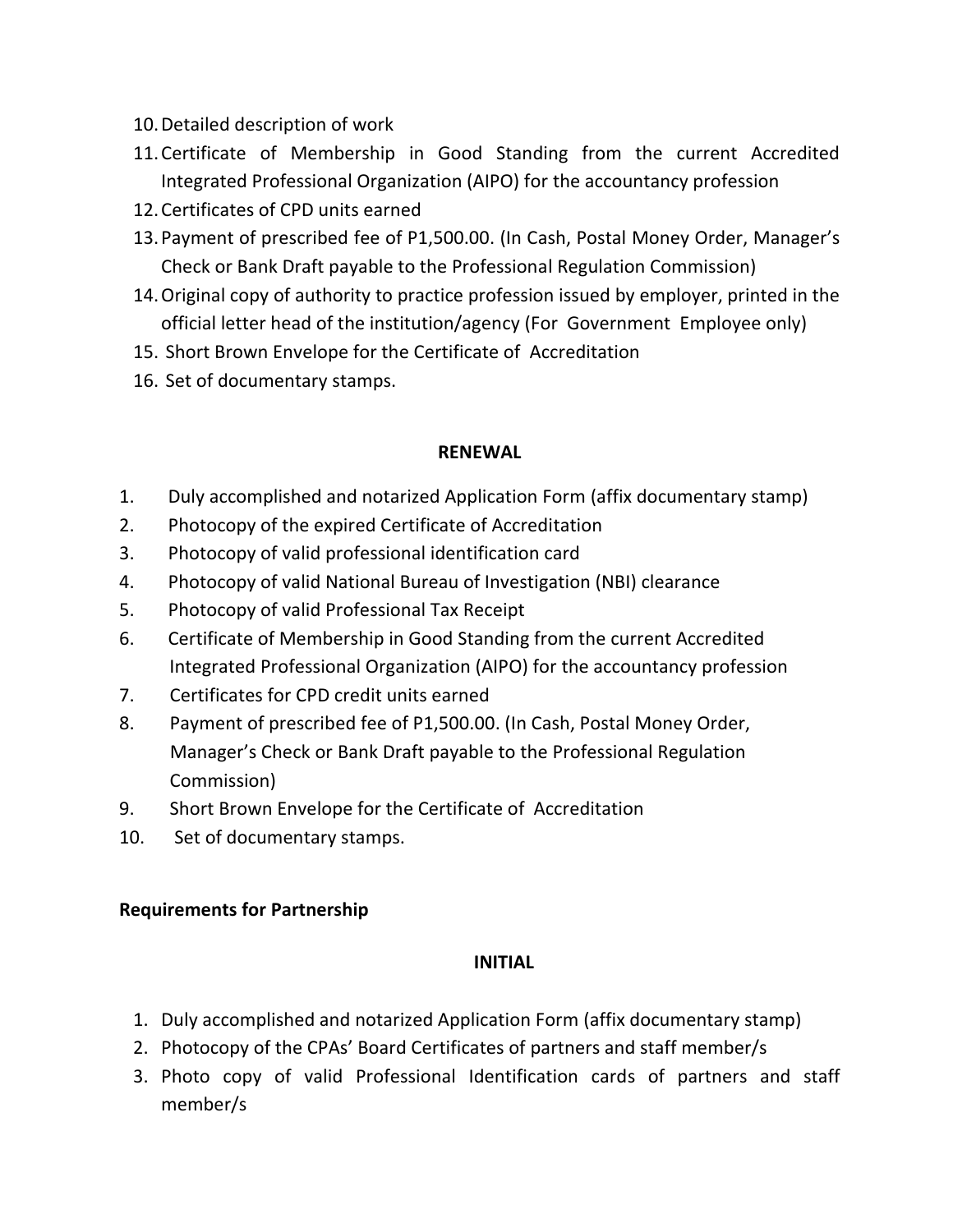- 10.Detailed description of work
- 11.Certificate of Membership in Good Standing from the current Accredited Integrated Professional Organization (AIPO) for the accountancy profession
- 12.Certificates of CPD units earned
- 13.Payment of prescribed fee of P1,500.00. (In Cash, Postal Money Order, Manager's Check or Bank Draft payable to the Professional Regulation Commission)
- 14.Original copy of authority to practice profession issued by employer, printed in the official letter head of the institution/agency (For Government Employee only)
- 15. Short Brown Envelope for the Certificate of Accreditation
- 16. Set of documentary stamps.

## **RENEWAL**

- 1. Duly accomplished and notarized Application Form (affix documentary stamp)
- 2. Photocopy of the expired Certificate of Accreditation
- 3. Photocopy of valid professional identification card
- 4. Photocopy of valid National Bureau of Investigation (NBI) clearance
- 5. Photocopy of valid Professional Tax Receipt
- 6. Certificate of Membership in Good Standing from the current Accredited Integrated Professional Organization (AIPO) for the accountancy profession
- 7. Certificates for CPD credit units earned
- 8. Payment of prescribed fee of P1,500.00. (In Cash, Postal Money Order, Manager's Check or Bank Draft payable to the Professional Regulation Commission)
- 9. Short Brown Envelope for the Certificate of Accreditation
- 10. Set of documentary stamps.

## **Requirements for Partnership**

## **INITIAL**

- 1. Duly accomplished and notarized Application Form (affix documentary stamp)
- 2. Photocopy of the CPAs' Board Certificates of partners and staff member/s
- 3. Photo copy of valid Professional Identification cards of partners and staff member/s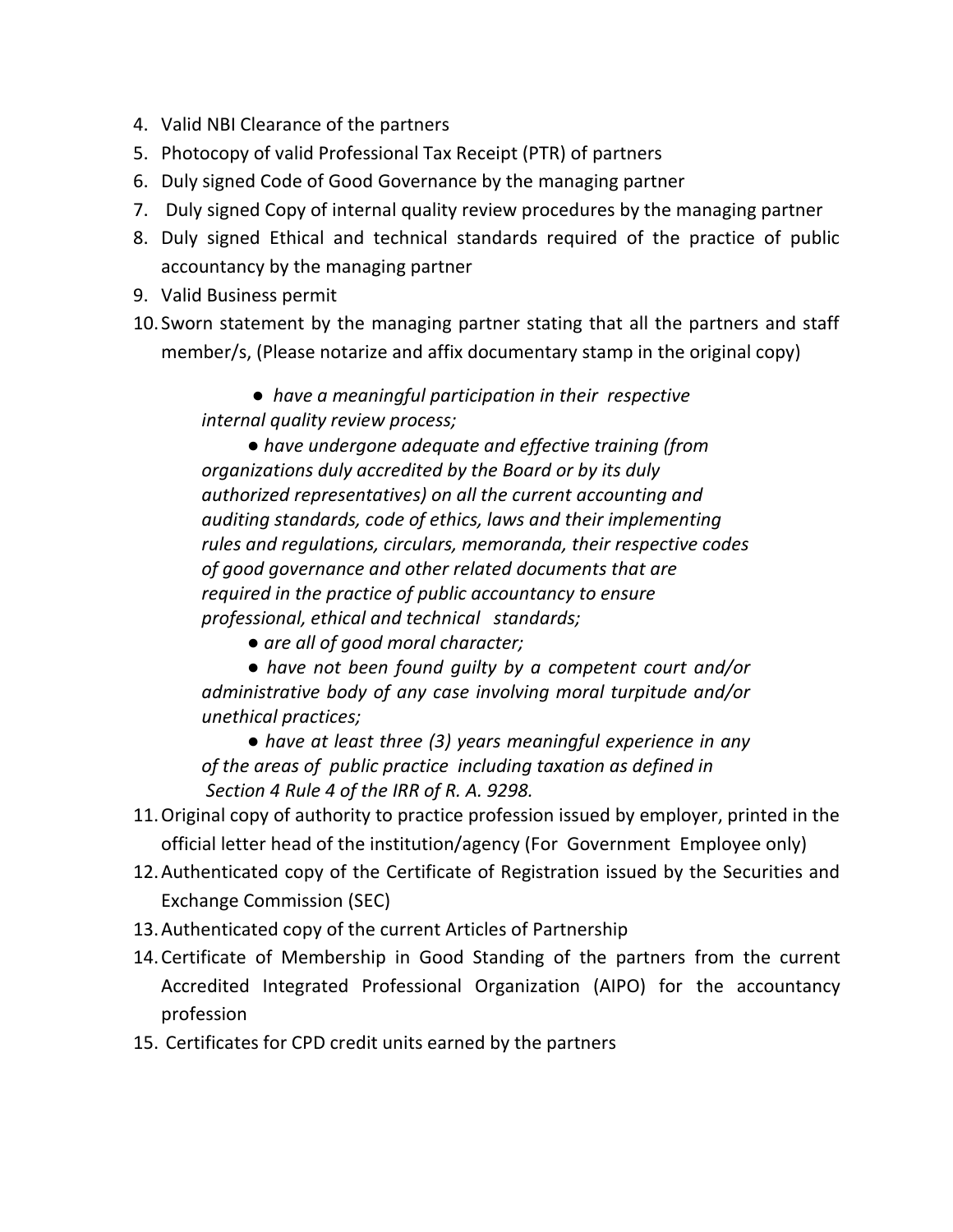- 4. Valid NBI Clearance of the partners
- 5. Photocopy of valid Professional Tax Receipt (PTR) of partners
- 6. Duly signed Code of Good Governance by the managing partner
- 7. Duly signed Copy of internal quality review procedures by the managing partner
- 8. Duly signed Ethical and technical standards required of the practice of public accountancy by the managing partner
- 9. Valid Business permit
- 10. Sworn statement by the managing partner stating that all the partners and staff member/s, (Please notarize and affix documentary stamp in the original copy)

 *● have a meaningful participation in their respective internal quality review process;* 

 *● have undergone adequate and effective training (from organizations duly accredited by the Board or by its duly authorized representatives) on all the current accounting and auditing standards, code of ethics, laws and their implementing rules and regulations, circulars, memoranda, their respective codes of good governance and other related documents that are required in the practice of public accountancy to ensure professional, ethical and technical standards;*

 *● are all of good moral character;*

 *● have not been found guilty by a competent court and/or administrative body of any case involving moral turpitude and/or unethical practices;*

● *have at least three (3) years meaningful experience in any of the areas of public practice including taxation as defined in Section 4 Rule 4 of the IRR of R. A. 9298.*

- 11.Original copy of authority to practice profession issued by employer, printed in the official letter head of the institution/agency (For Government Employee only)
- 12.Authenticated copy of the Certificate of Registration issued by the Securities and Exchange Commission (SEC)
- 13.Authenticated copy of the current Articles of Partnership
- 14.Certificate of Membership in Good Standing of the partners from the current Accredited Integrated Professional Organization (AIPO) for the accountancy profession
- 15. Certificates for CPD credit units earned by the partners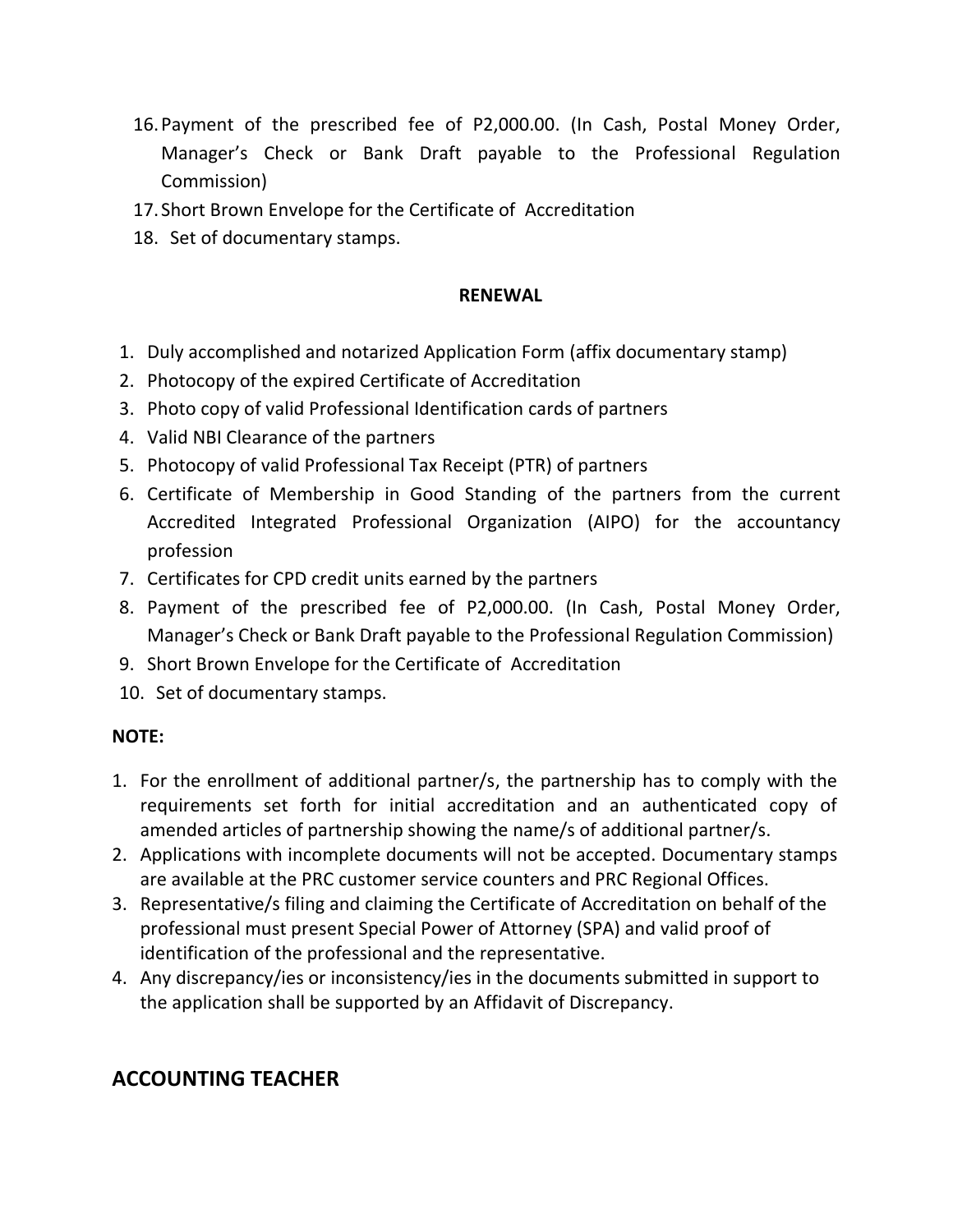- 16.Payment of the prescribed fee of P2,000.00. (In Cash, Postal Money Order, Manager's Check or Bank Draft payable to the Professional Regulation Commission)
- 17. Short Brown Envelope for the Certificate of Accreditation
- 18. Set of documentary stamps.

#### **RENEWAL**

- 1. Duly accomplished and notarized Application Form (affix documentary stamp)
- 2. Photocopy of the expired Certificate of Accreditation
- 3. Photo copy of valid Professional Identification cards of partners
- 4. Valid NBI Clearance of the partners
- 5. Photocopy of valid Professional Tax Receipt (PTR) of partners
- 6. Certificate of Membership in Good Standing of the partners from the current Accredited Integrated Professional Organization (AIPO) for the accountancy profession
- 7. Certificates for CPD credit units earned by the partners
- 8. Payment of the prescribed fee of P2,000.00. (In Cash, Postal Money Order, Manager's Check or Bank Draft payable to the Professional Regulation Commission)
- 9. Short Brown Envelope for the Certificate of Accreditation
- 10. Set of documentary stamps.

#### **NOTE:**

- 1. For the enrollment of additional partner/s, the partnership has to comply with the requirements set forth for initial accreditation and an authenticated copy of amended articles of partnership showing the name/s of additional partner/s.
- 2. Applications with incomplete documents will not be accepted. Documentary stamps are available at the PRC customer service counters and PRC Regional Offices.
- 3. Representative/s filing and claiming the Certificate of Accreditation on behalf of the professional must present Special Power of Attorney (SPA) and valid proof of identification of the professional and the representative.
- 4. Any discrepancy/ies or inconsistency/ies in the documents submitted in support to the application shall be supported by an Affidavit of Discrepancy.

## **ACCOUNTING TEACHER**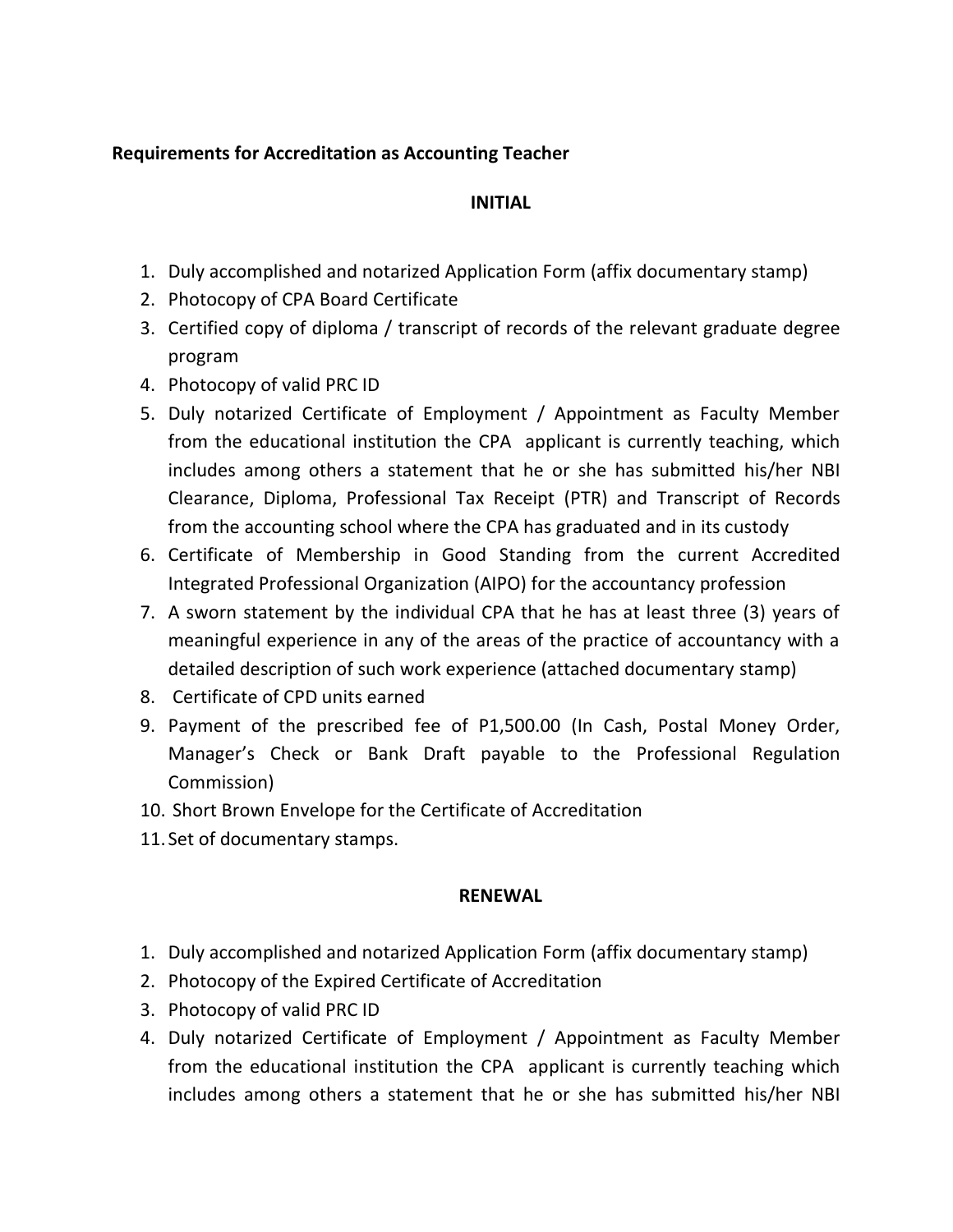## **Requirements for Accreditation as Accounting Teacher**

## **INITIAL**

- 1. Duly accomplished and notarized Application Form (affix documentary stamp)
- 2. Photocopy of CPA Board Certificate
- 3. Certified copy of diploma / transcript of records of the relevant graduate degree program
- 4. Photocopy of valid PRC ID
- 5. Duly notarized Certificate of Employment / Appointment as Faculty Member from the educational institution the CPA applicant is currently teaching, which includes among others a statement that he or she has submitted his/her NBI Clearance, Diploma, Professional Tax Receipt (PTR) and Transcript of Records from the accounting school where the CPA has graduated and in its custody
- 6. Certificate of Membership in Good Standing from the current Accredited Integrated Professional Organization (AIPO) for the accountancy profession
- 7. A sworn statement by the individual CPA that he has at least three (3) years of meaningful experience in any of the areas of the practice of accountancy with a detailed description of such work experience (attached documentary stamp)
- 8. Certificate of CPD units earned
- 9. Payment of the prescribed fee of P1,500.00 (In Cash, Postal Money Order, Manager's Check or Bank Draft payable to the Professional Regulation Commission)
- 10. Short Brown Envelope for the Certificate of Accreditation
- 11. Set of documentary stamps.

## **RENEWAL**

- 1. Duly accomplished and notarized Application Form (affix documentary stamp)
- 2. Photocopy of the Expired Certificate of Accreditation
- 3. Photocopy of valid PRC ID
- 4. Duly notarized Certificate of Employment / Appointment as Faculty Member from the educational institution the CPA applicant is currently teaching which includes among others a statement that he or she has submitted his/her NBI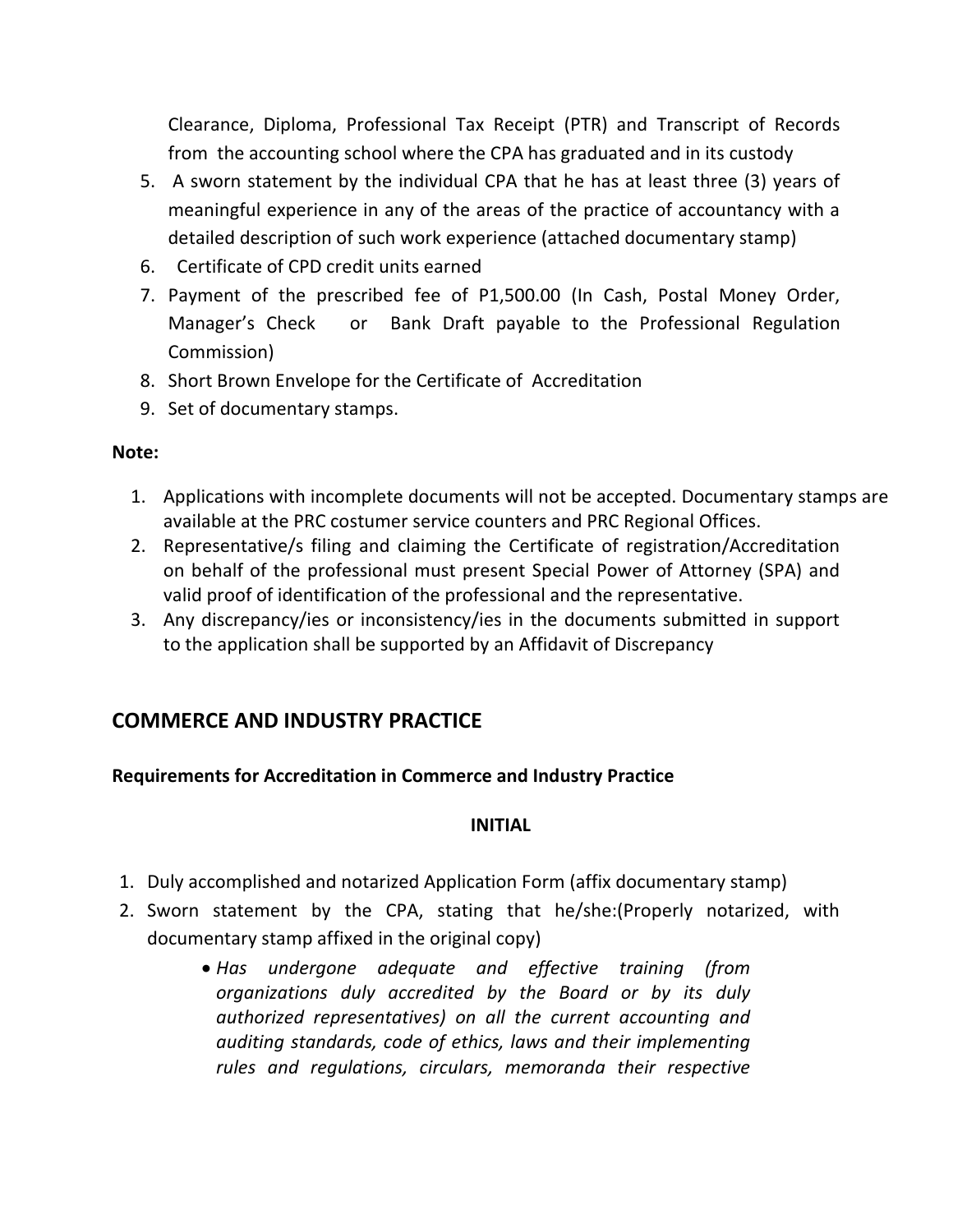Clearance, Diploma, Professional Tax Receipt (PTR) and Transcript of Records from the accounting school where the CPA has graduated and in its custody

- 5. A sworn statement by the individual CPA that he has at least three (3) years of meaningful experience in any of the areas of the practice of accountancy with a detailed description of such work experience (attached documentary stamp)
- 6. Certificate of CPD credit units earned
- 7. Payment of the prescribed fee of P1,500.00 (In Cash, Postal Money Order, Manager's Check or Bank Draft payable to the Professional Regulation Commission)
- 8. Short Brown Envelope for the Certificate of Accreditation
- 9. Set of documentary stamps.

#### **Note:**

- 1. Applications with incomplete documents will not be accepted. Documentary stamps are available at the PRC costumer service counters and PRC Regional Offices.
- 2. Representative/s filing and claiming the Certificate of registration/Accreditation on behalf of the professional must present Special Power of Attorney (SPA) and valid proof of identification of the professional and the representative.
- 3. Any discrepancy/ies or inconsistency/ies in the documents submitted in support to the application shall be supported by an Affidavit of Discrepancy

## **COMMERCE AND INDUSTRY PRACTICE**

## **Requirements for Accreditation in Commerce and Industry Practice**

#### **INITIAL**

- 1. Duly accomplished and notarized Application Form (affix documentary stamp)
- 2. Sworn statement by the CPA, stating that he/she:(Properly notarized, with documentary stamp affixed in the original copy)
	- *Has undergone adequate and effective training (from organizations duly accredited by the Board or by its duly authorized representatives) on all the current accounting and auditing standards, code of ethics, laws and their implementing rules and regulations, circulars, memoranda their respective*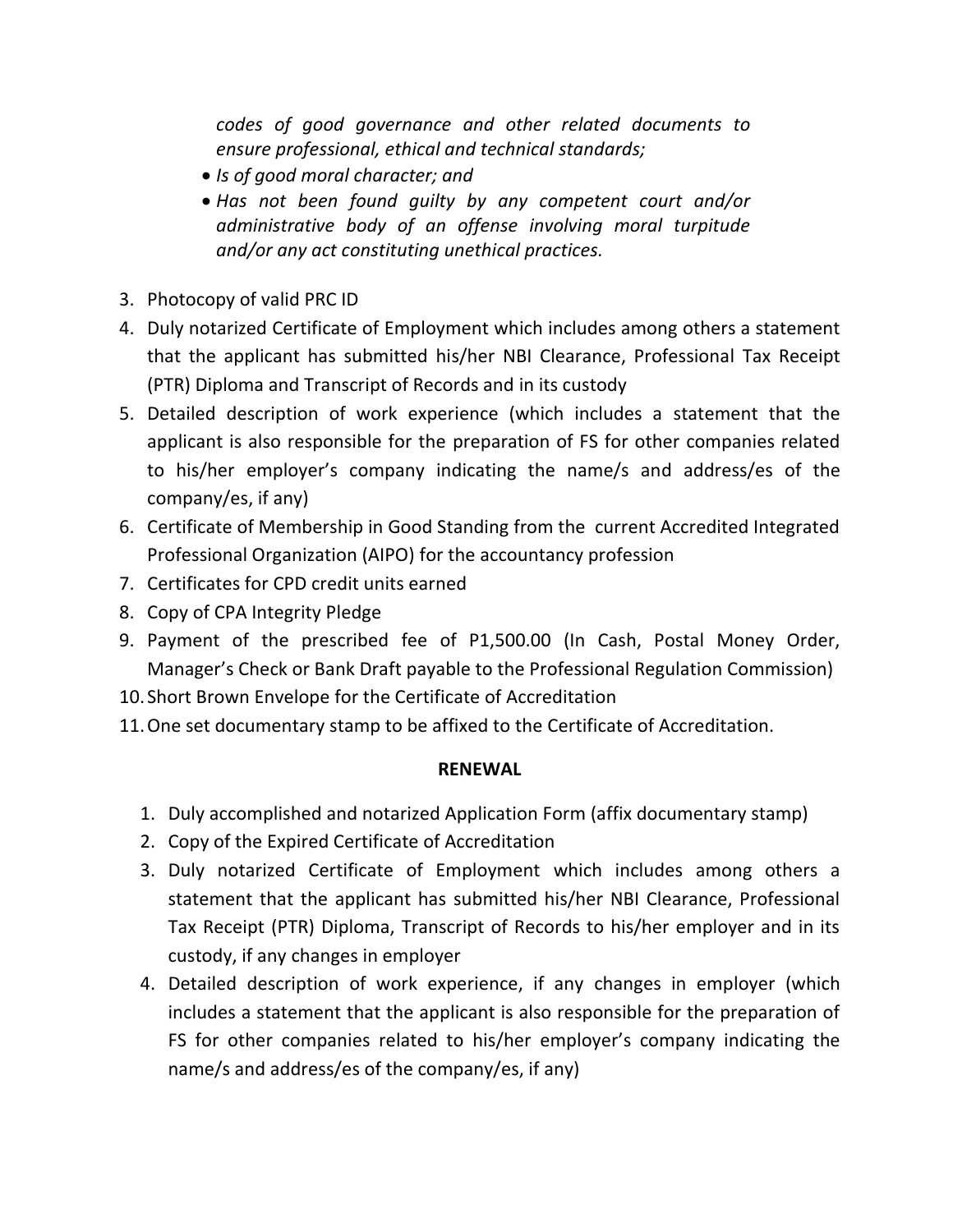*codes of good governance and other related documents to ensure professional, ethical and technical standards;*

- *Is of good moral character; and*
- *Has not been found guilty by any competent court and/or administrative body of an offense involving moral turpitude and/or any act constituting unethical practices.*
- 3. Photocopy of valid PRC ID
- 4. Duly notarized Certificate of Employment which includes among others a statement that the applicant has submitted his/her NBI Clearance, Professional Tax Receipt (PTR) Diploma and Transcript of Records and in its custody
- 5. Detailed description of work experience (which includes a statement that the applicant is also responsible for the preparation of FS for other companies related to his/her employer's company indicating the name/s and address/es of the company/es, if any)
- 6. Certificate of Membership in Good Standing from the current Accredited Integrated Professional Organization (AIPO) for the accountancy profession
- 7. Certificates for CPD credit units earned
- 8. Copy of CPA Integrity Pledge
- 9. Payment of the prescribed fee of P1,500.00 (In Cash, Postal Money Order, Manager's Check or Bank Draft payable to the Professional Regulation Commission)
- 10. Short Brown Envelope for the Certificate of Accreditation
- 11.One set documentary stamp to be affixed to the Certificate of Accreditation.

#### **RENEWAL**

- 1. Duly accomplished and notarized Application Form (affix documentary stamp)
- 2. Copy of the Expired Certificate of Accreditation
- 3. Duly notarized Certificate of Employment which includes among others a statement that the applicant has submitted his/her NBI Clearance, Professional Tax Receipt (PTR) Diploma, Transcript of Records to his/her employer and in its custody, if any changes in employer
- 4. Detailed description of work experience, if any changes in employer (which includes a statement that the applicant is also responsible for the preparation of FS for other companies related to his/her employer's company indicating the name/s and address/es of the company/es, if any)